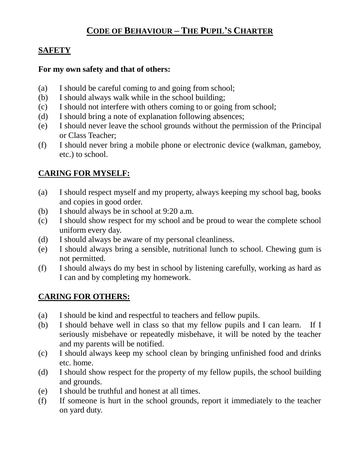# **CODE OF BEHAVIOUR – THE PUPIL'S CHARTER**

## **SAFETY**

#### **For my own safety and that of others:**

- (a) I should be careful coming to and going from school;
- (b) I should always walk while in the school building;
- (c) I should not interfere with others coming to or going from school;
- (d) I should bring a note of explanation following absences;
- (e) I should never leave the school grounds without the permission of the Principal or Class Teacher;
- (f) I should never bring a mobile phone or electronic device (walkman, gameboy, etc.) to school.

## **CARING FOR MYSELF:**

- (a) I should respect myself and my property, always keeping my school bag, books and copies in good order.
- (b) I should always be in school at 9:20 a.m.
- (c) I should show respect for my school and be proud to wear the complete school uniform every day.
- (d) I should always be aware of my personal cleanliness.
- (e) I should always bring a sensible, nutritional lunch to school. Chewing gum is not permitted.
- (f) I should always do my best in school by listening carefully, working as hard as I can and by completing my homework.

## **CARING FOR OTHERS:**

- (a) I should be kind and respectful to teachers and fellow pupils.
- (b) I should behave well in class so that my fellow pupils and I can learn. If I seriously misbehave or repeatedly misbehave, it will be noted by the teacher and my parents will be notified.
- (c) I should always keep my school clean by bringing unfinished food and drinks etc. home.
- (d) I should show respect for the property of my fellow pupils, the school building and grounds.
- (e) I should be truthful and honest at all times.
- (f) If someone is hurt in the school grounds, report it immediately to the teacher on yard duty.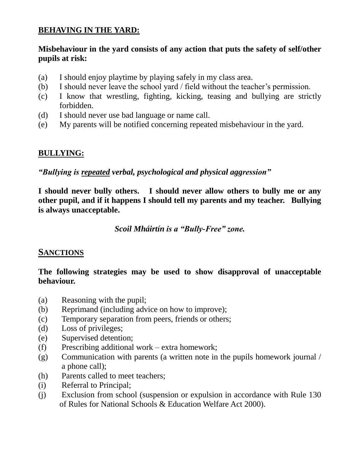## **BEHAVING IN THE YARD:**

#### **Misbehaviour in the yard consists of any action that puts the safety of self/other pupils at risk:**

- (a) I should enjoy playtime by playing safely in my class area.
- (b) I should never leave the school yard / field without the teacher's permission.
- (c) I know that wrestling, fighting, kicking, teasing and bullying are strictly forbidden.
- (d) I should never use bad language or name call.
- (e) My parents will be notified concerning repeated misbehaviour in the yard.

## **BULLYING:**

*"Bullying is repeated verbal, psychological and physical aggression"*

**I should never bully others. I should never allow others to bully me or any other pupil, and if it happens I should tell my parents and my teacher. Bullying is always unacceptable.**

*Scoil Mháirtín is a "Bully-Free" zone.*

## **SANCTIONS**

#### **The following strategies may be used to show disapproval of unacceptable behaviour.**

- (a) Reasoning with the pupil;
- (b) Reprimand (including advice on how to improve);
- (c) Temporary separation from peers, friends or others;
- (d) Loss of privileges;
- (e) Supervised detention;
- (f) Prescribing additional work extra homework;
- (g) Communication with parents (a written note in the pupils homework journal / a phone call);
- (h) Parents called to meet teachers;
- (i) Referral to Principal;
- (j) Exclusion from school (suspension or expulsion in accordance with Rule 130 of Rules for National Schools & Education Welfare Act 2000).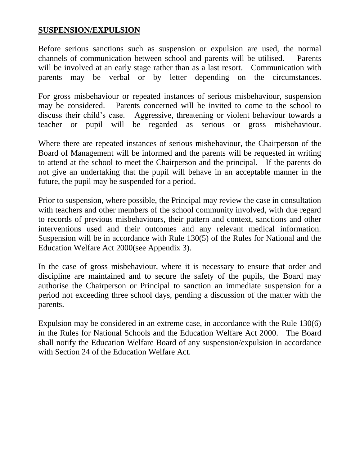#### **SUSPENSION/EXPULSION**

Before serious sanctions such as suspension or expulsion are used, the normal channels of communication between school and parents will be utilised. Parents will be involved at an early stage rather than as a last resort. Communication with parents may be verbal or by letter depending on the circumstances.

For gross misbehaviour or repeated instances of serious misbehaviour, suspension may be considered. Parents concerned will be invited to come to the school to discuss their child's case. Aggressive, threatening or violent behaviour towards a teacher or pupil will be regarded as serious or gross misbehaviour.

Where there are repeated instances of serious misbehaviour, the Chairperson of the Board of Management will be informed and the parents will be requested in writing to attend at the school to meet the Chairperson and the principal. If the parents do not give an undertaking that the pupil will behave in an acceptable manner in the future, the pupil may be suspended for a period.

Prior to suspension, where possible, the Principal may review the case in consultation with teachers and other members of the school community involved, with due regard to records of previous misbehaviours, their pattern and context, sanctions and other interventions used and their outcomes and any relevant medical information. Suspension will be in accordance with Rule 130(5) of the Rules for National and the Education Welfare Act 2000(see Appendix 3).

In the case of gross misbehaviour, where it is necessary to ensure that order and discipline are maintained and to secure the safety of the pupils, the Board may authorise the Chairperson or Principal to sanction an immediate suspension for a period not exceeding three school days, pending a discussion of the matter with the parents.

Expulsion may be considered in an extreme case, in accordance with the Rule 130(6) in the Rules for National Schools and the Education Welfare Act 2000. The Board shall notify the Education Welfare Board of any suspension/expulsion in accordance with Section 24 of the Education Welfare Act.